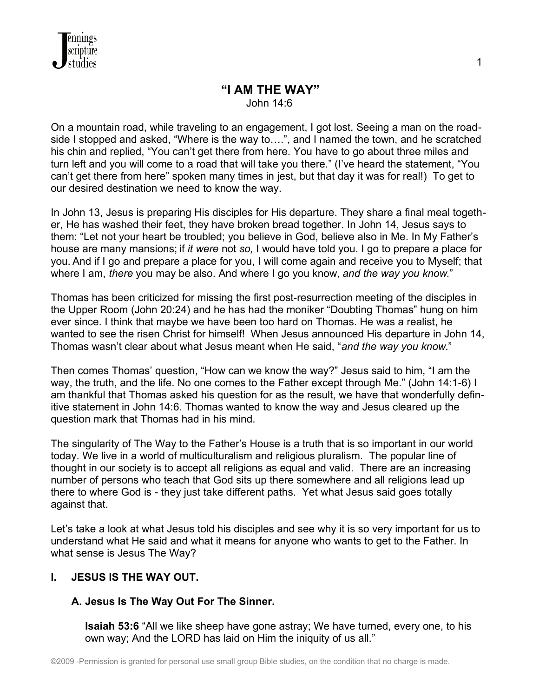#### **"I AM THE WAY"** John 14:6

On a mountain road, while traveling to an engagement, I got lost. Seeing a man on the roadside I stopped and asked, "Where is the way to….", and I named the town, and he scratched his chin and replied, "You can't get there from here. You have to go about three miles and turn left and you will come to a road that will take you there." (I've heard the statement, "You can't get there from here" spoken many times in jest, but that day it was for real!) To get to our desired destination we need to know the way.

In John 13, Jesus is preparing His disciples for His departure. They share a final meal together, He has washed their feet, they have broken bread together. In John 14, Jesus says to them: "Let not your heart be troubled; you believe in God, believe also in Me. In My Father's house are many mansions; if *it were* not *so,* I would have told you. I go to prepare a place for you. And if I go and prepare a place for you, I will come again and receive you to Myself; that where I am, *there* you may be also. And where I go you know, *and the way you know*."

Thomas has been criticized for missing the first post-resurrection meeting of the disciples in the Upper Room (John 20:24) and he has had the moniker "Doubting Thomas" hung on him ever since. I think that maybe we have been too hard on Thomas. He was a realist, he wanted to see the risen Christ for himself! When Jesus announced His departure in John 14, Thomas wasn't clear about what Jesus meant when He said, "*and the way you know*."

Then comes Thomas' question, "How can we know the way?" Jesus said to him, "I am the way, the truth, and the life. No one comes to the Father except through Me." (John 14:1-6) I am thankful that Thomas asked his question for as the result, we have that wonderfully definitive statement in John 14:6. Thomas wanted to know the way and Jesus cleared up the question mark that Thomas had in his mind.

The singularity of The Way to the Father's House is a truth that is so important in our world today. We live in a world of multiculturalism and religious pluralism. The popular line of thought in our society is to accept all religions as equal and valid. There are an increasing number of persons who teach that God sits up there somewhere and all religions lead up there to where God is - they just take different paths. Yet what Jesus said goes totally against that.

Let's take a look at what Jesus told his disciples and see why it is so very important for us to understand what He said and what it means for anyone who wants to get to the Father. In what sense is Jesus The Way?

# **I. JESUS IS THE WAY OUT.**

# **A. Jesus Is The Way Out For The Sinner.**

**Isaiah 53:6** "All we like sheep have gone astray; We have turned, every one, to his own way; And the LORD has laid on Him the iniquity of us all."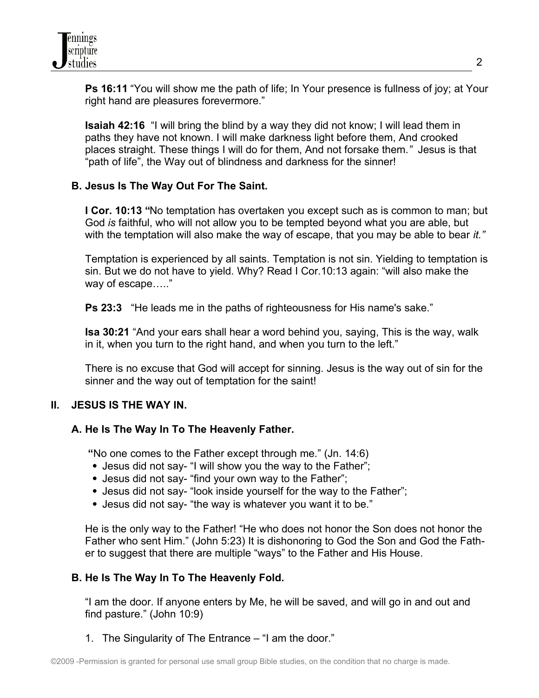

**Ps 16:11** "You will show me the path of life; In Your presence is fullness of joy; at Your right hand are pleasures forevermore."

**Isaiah 42:16** "I will bring the blind by a way they did not know; I will lead them in paths they have not known. I will make darkness light before them, And crooked places straight. These things I will do for them, And not forsake them.*"* Jesus is that "path of life", the Way out of blindness and darkness for the sinner!

### **B. Jesus Is The Way Out For The Saint.**

**I Cor. 10:13 "**No temptation has overtaken you except such as is common to man; but God *is* faithful, who will not allow you to be tempted beyond what you are able, but with the temptation will also make the way of escape, that you may be able to bear *it."*

Temptation is experienced by all saints. Temptation is not sin. Yielding to temptation is sin. But we do not have to yield. Why? Read I Cor.10:13 again: "will also make the way of escape….."

**Ps 23:3** "He leads me in the paths of righteousness for His name's sake."

**Isa 30:21** "And your ears shall hear a word behind you, saying, This is the way, walk in it, when you turn to the right hand, and when you turn to the left."

There is no excuse that God will accept for sinning. Jesus is the way out of sin for the sinner and the way out of temptation for the saint!

### **II. JESUS IS THE WAY IN.**

### **A. He Is The Way In To The Heavenly Father.**

 **"**No one comes to the Father except through me." (Jn. 14:6)

- Jesus did not say- "I will show you the way to the Father";
- Jesus did not say- "find your own way to the Father";
- Jesus did not say- "look inside yourself for the way to the Father";
- Jesus did not say- "the way is whatever you want it to be."

He is the only way to the Father! "He who does not honor the Son does not honor the Father who sent Him." (John 5:23) It is dishonoring to God the Son and God the Father to suggest that there are multiple "ways" to the Father and His House.

### **B. He Is The Way In To The Heavenly Fold.**

"I am the door. If anyone enters by Me, he will be saved, and will go in and out and find pasture." (John 10:9)

1. The Singularity of The Entrance – "I am the door."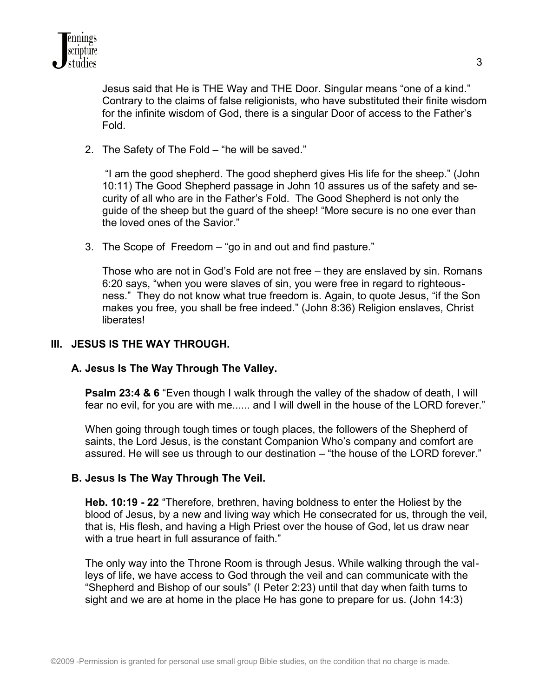Jesus said that He is THE Way and THE Door. Singular means "one of a kind." Contrary to the claims of false religionists, who have substituted their finite wisdom for the infinite wisdom of God, there is a singular Door of access to the Father's Fold.

2. The Safety of The Fold – "he will be saved."

 "I am the good shepherd. The good shepherd gives His life for the sheep." (John 10:11) The Good Shepherd passage in John 10 assures us of the safety and security of all who are in the Father's Fold. The Good Shepherd is not only the guide of the sheep but the guard of the sheep! "More secure is no one ever than the loved ones of the Savior."

3. The Scope of Freedom – "go in and out and find pasture."

Those who are not in God's Fold are not free – they are enslaved by sin. Romans 6:20 says, "when you were slaves of sin, you were free in regard to righteousness." They do not know what true freedom is. Again, to quote Jesus, "if the Son makes you free, you shall be free indeed." (John 8:36) Religion enslaves, Christ liberates!

### **III. JESUS IS THE WAY THROUGH.**

# **A. Jesus Is The Way Through The Valley.**

**Psalm 23:4 & 6** "Even though I walk through the valley of the shadow of death, I will fear no evil, for you are with me...... and I will dwell in the house of the LORD forever."

When going through tough times or tough places, the followers of the Shepherd of saints, the Lord Jesus, is the constant Companion Who's company and comfort are assured. He will see us through to our destination – "the house of the LORD forever."

# **B. Jesus Is The Way Through The Veil.**

**Heb. 10:19 - 22** "Therefore, brethren, having boldness to enter the Holiest by the blood of Jesus, by a new and living way which He consecrated for us, through the veil, that is, His flesh, and having a High Priest over the house of God, let us draw near with a true heart in full assurance of faith."

The only way into the Throne Room is through Jesus. While walking through the valleys of life, we have access to God through the veil and can communicate with the "Shepherd and Bishop of our souls" (I Peter 2:23) until that day when faith turns to sight and we are at home in the place He has gone to prepare for us. (John 14:3)